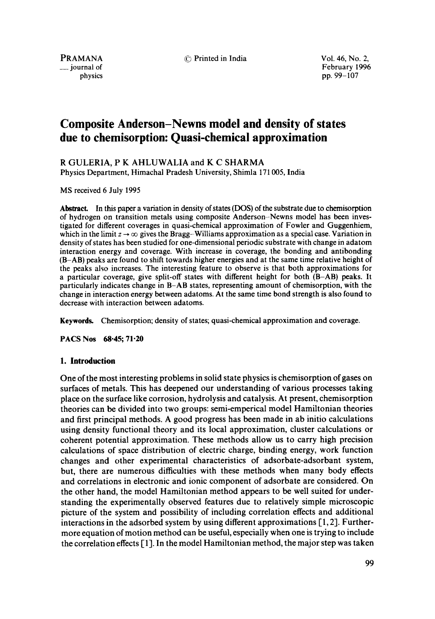~) Printed in India **Vol. 46, No. 2,** 

PRAMANA \_\_ journal of physics

February 1996 pp. 99-107

# **Composite Anderson-Newns model and density of states due to chemisorption: Quasi-chemical approximation**

R GULERIA, P K AHLUWALtA and K C SHARMA Physics Department, Himachal Pradesh University, Shimla 171 005, India

MS received 6 July 1995

Abstract. In this paper a variation in density of states (DOS) of the substrate due to chemisorption of hydrogen on transition metals using composite Anderson-Newns model has been investigated for different coverages in quasi-chemical approximation of Fowler and Guggenhiem, which in the limit  $z \to \infty$  gives the Bragg-Williams approximation as a special case. Variation in density of states has been studied for one-dimensional periodic substrate with change in adatom interaction energy and coverage. With increase in coverage, the bonding and antibonding (B-AB) peaks are found to shift towards higher energies and at the same time relative height of the peaks also increases. The interesting feature to observe is that both approximations for a particular coverage, give split-off states with different height for both (B-AB) peaks. It particularly indicates change in B-AB states, representing amount of chemisorption, with the change in interaction energy between adatoms. At the same time bond strength is also found to decrease with interaction between adatoms.

Keywords. Chemisorption; density of states; quasi-chemical approximation and coverage.

PACS Nos 68-45; 71-20

# **1. Introduction**

One of the most interesting problems in solid state physics is chemisorption of gases on surfaces of metals. This has deepened our understanding of various processes taking place on the surface like corrosion, hydrolysis and catalysis. At present, chemisorption theories can be divided into two groups: semi-emperical model Hamiltonian theories and first principal methods. A good progress has been made in ab initio calculations using density functional theory and its local approximation, cluster calculations or coherent potential approximation. These methods allow us to carry high precision calculations of space distribution of electric charge, binding energy, work function changes and other experimental characteristics of adsorbate-adsorbant system, but, there are numerous difficulties with these methods when many body effects and correlations in electronic and ionic component of adsorbate are considered. On the other hand, the model Hamiltonian method appears to be well suited for understanding the experimentally observed features due to relatively simple microscopic picture of the system and possibility of including correlation effects and additional interactions in the adsorbed system by using different approximations [ 1, 2]. Furthermore equation of motion method can be useful, especially when one is trying to include the correlation effects [1]. In the model Hamiltonian method, the major step was taken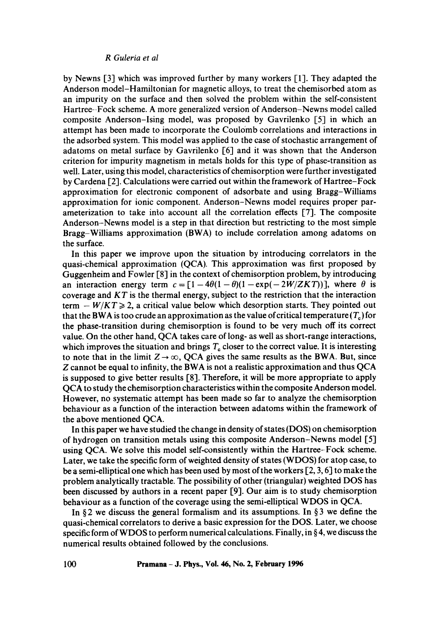#### *R Guleria et al*

by Newns [3] which was improved further by many workers [1]. They adapted the Anderson model-Hamiltonian for magnetic alloys, to treat the chemisorbed atom as an impurity on the surface and then solved the problem within the self-consistent Hartree--Fock scheme. A more generalized version of Anderson-Newns model called composite Anderson-Ising model, was proposed by Gavrilenko [5] in which an attempt has been made to incorporate the Coulomb correlations and interactions in the adsorbed system. This model was applied to the case of stochastic arrangement of adatoms on metal surface by Gavrilenko [6] and it was shown that the Anderson criterion for impurity magnetism in metals holds for this type of phase-transition as well. Later, using this model, characteristics of chemisorption were further investigated by Cardena [2]. Calculations were carried out within the framework of Hartree-Fock approximation for electronic component of adsorbate and using Bragg-Williams approximation for ionic component. Anderson-Newns model requires proper parameterization to take inio account all the correlation effects [7]. The composite Anderson-Newns model is a step in that direction but restricting to the most simple Bragg-Williams approximation (BWA) to include correlation among adatoms on the surface.

In this paper we improve upon the situation by introducing correlators in the quasi-chemical approximation (QCA). This approximation was first proposed by Guggenheim and Fowler [8] in the context of chemisorption problem, by introducing an interaction energy term  $c = [1-4\theta(1-\theta)(1-\exp(-2W/ZKT))]$ , where  $\theta$  is coverage and *KT* is the thermal energy, subject to the restriction that the interaction term  $-W/KT \ge 2$ , a critical value below which desorption starts. They pointed out that the BWA is too crude an approximation as the value of critical temperature  $(T<sub>n</sub>)$  for the phase-transition during chemisorption is found to be very much off its correct value. On the other hand, QCA takes care of long- as well as short-range interactions, which improves the situation and brings  $T<sub>c</sub>$  closer to the correct value. It is interesting to note that in the limit  $Z \rightarrow \infty$ , QCA gives the same results as the BWA. But, since Z cannot be equal to infinity, the BWA is not a realistic approximation and thus QCA is supposed to give better results [8]. Therefore, it will be more appropriate to apply QCA to study the chemisorption characteristics within the composite Anderson model. However, no systematic attempt has been made so far to analyze the chemisorption behaviour as a function of the interaction between adatoms within the framework of the above mentioned QCA.

In this paper we have studied the change in density of states (DOS) on chemisorption of hydrogen on transition metals using this composite Anderson-Newns model [5] using QCA. We solve this model self-consistently within the Hartree-Fock scheme. Later, we take the specific form of weighted density of states (WDOS) for atop case, to be a semi-elliptical one which has been used by most of the workers  $[2, 3, 6]$  to make the problem analytically tractable. The possibility of other (triangular) weighted DOS has been discussed by authors in a recent paper [9]. Our aim is to study chemisorption behaviour as a function of the coverage using the semi-elliptical WDOS in QCA.

In  $\S$ 2 we discuss the general formalism and its assumptions. In  $\S$ 3 we define the quasi-chemical correlators to derive a basic expression for the DOS. Later, we choose specific form of WDOS to perform numerical calculations. Finally, in  $\S 4$ , we discuss the numerical results obtained followed by the conclusions.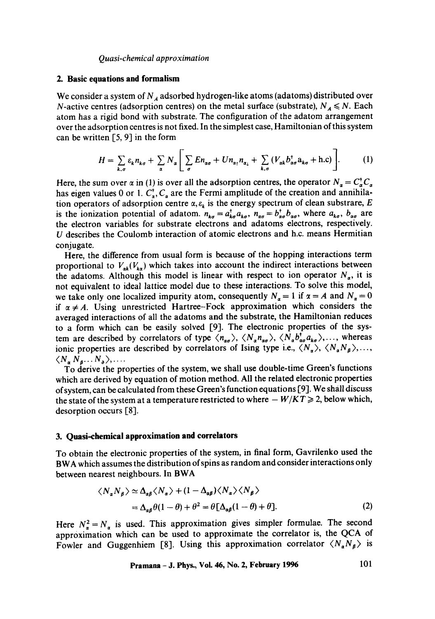### *Quasi-chemical approximation*

#### **2. Basic equations and formalism**

We consider a system of  $N_A$  adsorbed hydrogen-like atoms (adatoms) distributed over N-active centres (adsorption centres) on the metal surface (substrate),  $N_A \le N$ . Each atom has a rigid bond with substrate. The configuration of the adatom arrangement over the adsorption centres is not fixed. In the simplest case, Hamiltonian of this system can be written  $[5, 9]$  in the form

$$
H = \sum_{k,\sigma} \varepsilon_k n_{k\sigma} + \sum_{\alpha} N_{\alpha} \Bigg[ \sum_{\sigma} E n_{\alpha\sigma} + U n_{\alpha_1} n_{\alpha_1} + \sum_{k,\sigma} (V_{\alpha k} b_{\alpha \sigma}^{\dagger} a_{k\sigma} + \text{h.c}) \Bigg]. \tag{1}
$$

Here, the sum over  $\alpha$  in (1) is over all the adsorption centres, the operator  $N_{\alpha} = C_{\alpha}^{\dagger} C_{\alpha}$ has eigen values 0 or 1.  $C_{\alpha}^{\dagger}$ ,  $C_{\alpha}$  are the Fermi amplitude of the creation and annihilation operators of adsorption centre  $\alpha$ ,  $\varepsilon_k$  is the energy spectrum of clean substrare, E is the ionization potential of adatom.  $n_{k\sigma} = a_{k\sigma}^{\dagger} a_{k\sigma}$ ,  $n_{\sigma\sigma} = b_{\sigma\sigma}^{\dagger} b_{\sigma\sigma}$ , where  $a_{k\sigma}$ ,  $b_{\sigma\sigma}$  are the electron variables for substrate electrons and adatoms electrons, respectively. U describes the Coulomb interaction of atomic electrons and h.c. means Hermitian conjugate.

Here, the difference from usual form is because of the hopping interactions term proportional to  $V_{ak}(V_{ka})$  which takes into account the indirect interactions between the adatoms. Although this model is linear with respect to ion operator  $N_a$ , it is not equivalent to ideal lattice model due to these interactions. To solve this model, we take only one localized impurity atom, consequently  $N_{\alpha} = 1$  if  $\alpha = A$  and  $N_{\alpha} = 0$ if  $\alpha \neq A$ . Using unrestricted Hartree-Fock approximation which considers the averaged interactions of all the adatoms and the substrate, the Hamiltonian reduces to a form which can be easily solved [9]. The electronic properties of the system are described by correlators of type  $\langle n_{\alpha\sigma} \rangle$ ,  $\langle N_{\alpha} n_{\alpha\sigma} \rangle$ ,  $\langle N_{\alpha} b_{\alpha\sigma}^{\dagger} a_{k\sigma} \rangle$ ,..., whereas ionic properties are described by correlators of Ising type i.e.,  $\langle N_a \rangle$ ,  $\langle N_a N_b \rangle$ ,...  $\langle N_a N_a \ldots N_b \rangle$ ,...

To derive the properties of the system, we shall use double-time Green's functions which are derived by equation of motion method. All the related electronic properties of system, can be calculated from these Green's function equations [9]. We shall discuss the state of the system at a temperature restricted to where  $-W/KT \geq 2$ , below which, desorption occurs  $[8]$ .

# **3. Quasi-chemical approximation and correlators**

To obtain the electronic properties of the system, in final form, Gavrilenko used the BWA which assumes the distribution of spins as random and consider interactions only between nearest neighbours. In BWA

$$
\langle N_a N_\beta \rangle \simeq \Delta_{a\beta} \langle N_a \rangle + (1 - \Delta_{a\beta}) \langle N_a \rangle \langle N_\beta \rangle
$$
  
=  $\Delta_{a\beta} \theta (1 - \theta) + \theta^2 = \theta [\Delta_{a\beta} (1 - \theta) + \theta].$  (2)

Here  $N_{\alpha}^2 = N_{\alpha}$  is used. This approximation gives simpler formulae. The second approximation which can be used to approximate the correlator is, the QCA of Fowler and Guggenhiem [8]. Using this approximation correlator  $\langle N_a N_b \rangle$  is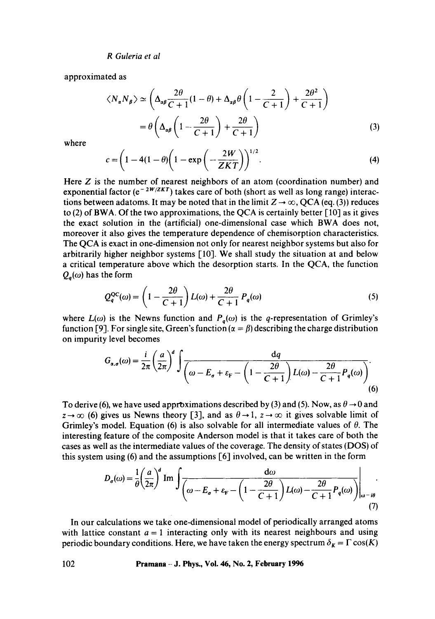*R Guleria et al* 

approximated as

$$
\langle N_{\alpha} N_{\beta} \rangle \simeq \left( \Delta_{\alpha\beta} \frac{2\theta}{C+1} (1-\theta) + \Delta_{\alpha\beta} \theta \left( 1 - \frac{2}{C+1} \right) + \frac{2\theta^2}{C+1} \right)
$$

$$
= \theta \left( \Delta_{\alpha\beta} \left( 1 - \frac{2\theta}{C+1} \right) + \frac{2\theta}{C+1} \right) \tag{3}
$$

where

$$
c = \left(1 - 4(1 - \theta)\left(1 - \exp\left(-\frac{2W}{ZKT}\right)\right)^{1/2}.\right)
$$
 (4)

Here  $Z$  is the number of nearest neighbors of an atom (coordination number) and exponential factor ( $e^{-2W/ZKT}$ ) takes care of both (short as well as long range) interactions between adatoms. It may be noted that in the limit  $Z \rightarrow \infty$ , QCA (eq. (3)) reduces to (2) of BWA. Of the two approximations, the QCA is certainly better  $\lceil 10 \rceil$  as it gives the exact solution in the (artificial) one-dimensional case which BWA does not, moreover it also gives the temperature dependence of chemisorption characteristics. The QCA is exact in one-dimension not only for nearest neighbor systems but also for arbitrarily higher neighbor systems  $[10]$ . We shall study the situation at and below a critical temperature above which the desorption starts. In the QCA, the function  $Q_a(\omega)$  has the form

$$
Q_q^{\rm QC}(\omega) = \left(1 - \frac{2\theta}{C+1}\right)L(\omega) + \frac{2\theta}{C+1}P_q(\omega) \tag{5}
$$

where  $L(\omega)$  is the Newns function and  $P_q(\omega)$  is the q-representation of Grimley's function [9]. For single site, Green's function ( $\alpha = \beta$ ) describing the charge distribution on impurity level becomes

$$
G_{\alpha,\sigma}(\omega) = \frac{i}{2\pi} \left(\frac{a}{2\pi}\right)^d \int \frac{dq}{\left(\omega - E_{\sigma} + \varepsilon_{\rm F} - \left(1 - \frac{2\theta}{C + 1}\right)L(\omega) - \frac{2\theta}{C + 1}P_q(\omega)\right)}.
$$
\n(6)

To derive (6), we have used approximations described by (3) and (5). Now, as  $\theta \rightarrow 0$  and  $z \to \infty$  (6) gives us Newns theory [3], and as  $\theta \to 1$ ,  $z \to \infty$  it gives solvable limit of Grimley's model. Equation (6) is also solvable for all intermediate values of  $\theta$ . The interesting feature of the composite Anderson model is that it takes care of both the cases as well as the intermediate values of the coverage. The density of states (DOS) of this system using (6) and the assumptions [6] involved, can be written in the form

$$
D_{\sigma}(\omega) = \frac{1}{\theta} \left( \frac{a}{2\pi} \right)^{d} \text{Im} \int \frac{d\omega}{\left( \omega - E_{\sigma} + \varepsilon_{F} - \left( 1 - \frac{2\theta}{C + 1} \right) L(\omega) - \frac{2\theta}{C + 1} P_{q}(\omega) \right)} \bigg|_{\omega - i\theta}.
$$
\n(7)

In our calculations we take one-dimensional model of periodically arranged atoms with lattice constant  $a = 1$  interacting only with its nearest neighbours and using periodic boundary conditions. Here, we have taken the energy spectrum  $\delta_K = \Gamma \cos(K)$ 

**102 Pramana - J. Phys., Vol. 46, No. 2, February 1996**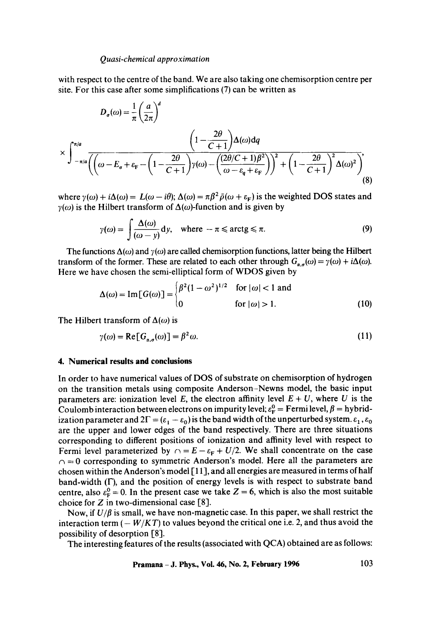#### *Quasi-chemical approximation*

with respect to the centre of the band. We are also taking one chemisorption centre per site. For this case after some simplifications (7) can be written as

$$
D_{\sigma}(\omega) = \frac{1}{\pi} \left(\frac{a}{2\pi}\right)^{d}
$$

$$
\times \int_{-\pi/a}^{\pi/a} \frac{\left(1 - \frac{2\theta}{C+1}\right) \Delta(\omega) \, \mathrm{d}q}{\left(\left(\omega - E_{\sigma} + \varepsilon_{\mathrm{F}} - \left(1 - \frac{2\theta}{C+1}\right) \gamma(\omega) - \left(\frac{(2\theta/C + 1)\beta^{2}}{\omega - \varepsilon_{\mathrm{q}} + \varepsilon_{\mathrm{F}}}\right)\right)^{2} + \left(1 - \frac{2\theta}{C+1}\right)^{2} \Delta(\omega)^{2}\right)},\tag{8}
$$

where  $\gamma(\omega) + i\Delta(\omega) = L(\omega - i\theta)$ ;  $\Delta(\omega) = \pi \beta^2 \bar{\rho}(\omega + \varepsilon_F)$  is the weighted DOS states and  $\gamma(\omega)$  is the Hilbert transform of  $\Delta(\omega)$ -function and is given by

$$
\gamma(\omega) = \int \frac{\Delta(\omega)}{(\omega - y)} dy, \quad \text{where } -\pi \leq \arctg \leq \pi. \tag{9}
$$

The functions  $\Delta(\omega)$  and  $\gamma(\omega)$  are called chemisorption functions, latter being the Hilbert transform of the former. These are related to each other through  $G_{a,q}(\omega) = \gamma(\omega) + i\Delta(\omega)$ . Here we have chosen the semi-elliptical form of WDOS given by

$$
\Delta(\omega) = \text{Im}[G(\omega)] = \begin{cases} \beta^2 (1 - \omega^2)^{1/2} & \text{for } |\omega| < 1 \text{ and} \\ 0 & \text{for } |\omega| > 1. \end{cases}
$$
(10)

The Hilbert transform of  $\Delta(\omega)$  is

$$
\gamma(\omega) = \text{Re}[G_{\alpha,\sigma}(\omega)] = \beta^2 \omega. \tag{11}
$$

### **4. Numerical results and conclusions**

In order to have numerical values of DOS of substrate on chemisorption of hydrogen on the transition metals using composite Anderson-Newns model, the basic input parameters are: ionization level E, the electron affinity level  $E + U$ , where U is the Coulomb interaction between electrons on impurity level;  $\varepsilon_{\rm F}^0$  = Fermi level,  $\beta$  = hybridization parameter and  $2\Gamma = (\varepsilon_1 - \varepsilon_0)$  is the band width of the unperturbed system.  $\varepsilon_1$ ,  $\varepsilon_0$ are the upper and lower edges of the band respectively. There are three situations corresponding to different positions of ionization and affinity level with respect to Fermi level parameterized by  $\cap$  =  $E - \varepsilon_F + U/2$ . We shall concentrate on the case  $n = 0$  corresponding to symmetric Anderson's model. Here all the parameters are chosen within the Anderson's model [11], and all energies are measured in terms of half band-width (F), and the position of energy levels is with respect to substrate band centre, also  $\varepsilon_F^0 = 0$ . In the present case we take  $Z = 6$ , which is also the most suitable choice for  $Z$  in two-dimensional case [8].

Now, if  $U/\beta$  is small, we have non-magnetic case. In this paper, we shall restrict the interaction term  $(-W/KT)$  to values beyond the critical one i.e. 2, and thus avoid the possibility of desorption [8].

The interesting features of the results (associated with QCA) obtained are as follows: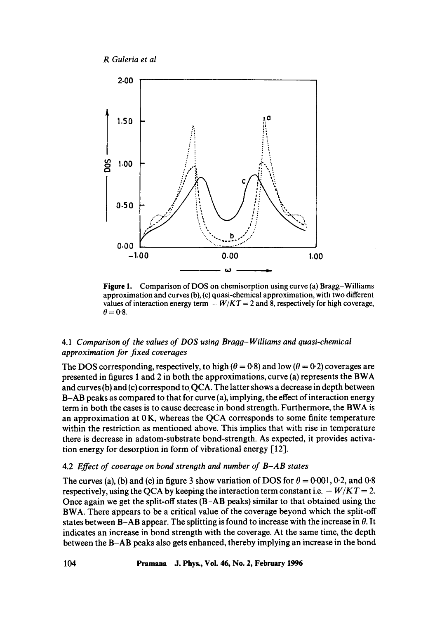



**Figure** 1. Comparison of DOS on chemisorption using curve (a) Bragg-Williams approximation and curves (b), (c) quasi-chemical approximation, with two different values of interaction energy term  $-W/KT = 2$  and 8, respectively for high coverage,  $\theta = 0.8$ .

# *4.1 Comparison of the values of DOS using Braog-Williams and quasi-chemical approximation for fixed coverages*

The DOS corresponding, respectively, to high ( $\theta = 0.8$ ) and low ( $\theta = 0.2$ ) coverages are presented in figures 1 and 2 in both the approximations, curve (a) represents the BWA and curves (b) and (c) correspond to OCA. The latter shows a decrease in depth between B-AB peaks as compared to that for curve (a), implying, the effect of interaction energy term in both the cases is to cause decrease in bond strength. Furthermore, the BWA is an approximation at  $0K$ , whereas the QCA corresponds to some finite temperature within the restriction as mentioned above. This implies that with rise in temperature there is decrease in adatom-substrate bond-strength. As expected, it provides activation energy for desorption in form of vibrational energy [12].

# 4.2 *Effect of coveraoe on bond strength and number of B-AB states*

The curves (a), (b) and (c) in figure 3 show variation of DOS for  $\theta = 0.001$ , 0.2, and 0.8 respectively, using the QCA by keeping the interaction term constant i.e.  $-W/KT = 2$ . Once again we get the split-off states (B-AB peaks) similar to that obtained using the BWA. There appears to be a critical value of the coverage beyond which the split-off states between B-AB appear. The splitting is found to increase with the increase in  $\theta$ . It indicates an increase in bond strength with the coverage. At the same time, the depth between the B-AB peaks also gets enhanced, thereby implying an increase in the bond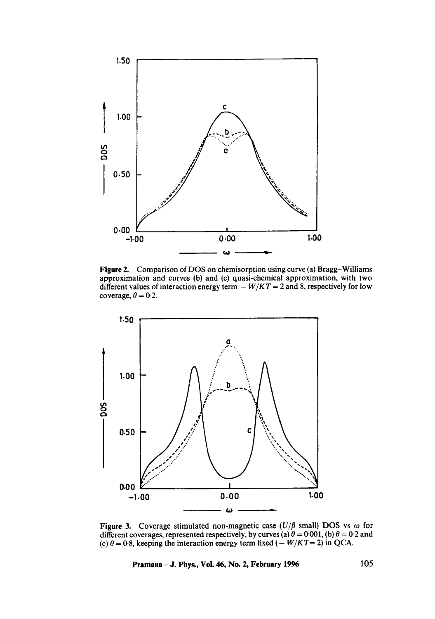

Figure 2. Comparison of DOS on chemisorption using curve (a) Bragg-Williams approximation and curves (b) and (c) quasi-chemical approximation, with two different values of interaction energy term  $-W/KT = 2$  and 8, respectively for low coverage,  $\theta = 0.2$ .



Figure 3. Coverage stimulated non-magnetic case  $(U/\beta \text{ small})$  DOS vs  $\omega$  for different coverages, represented respectively, by curves (a)  $\theta = 0.001$ , (b)  $\theta = 0.2$  and (c)  $\theta = 0.8$ , keeping the interaction energy term fixed (- *W/KT* = 2) in QCA.

**Pramana – J. Phys., Vol. 46, No. 2, February 1996** 105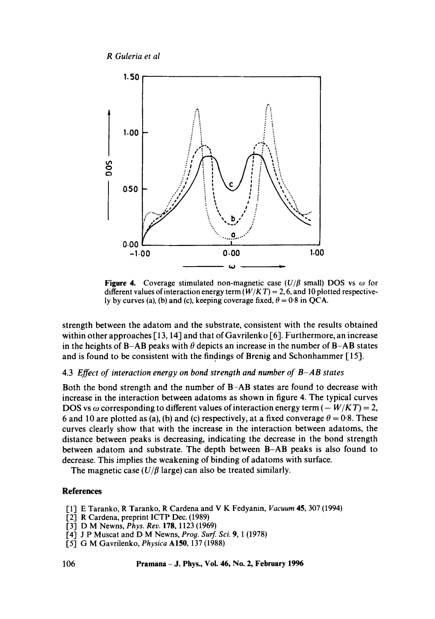*R Guleria et al* 



**Figure 4.** Coverage stimulated non-magnetic case  $(U/\beta \text{ small})$  DOS vs  $\omega$  for different values of interaction energy term  $(W/KT) = 2, 6$ , and 10 plotted respectively by curves (a), (b) and (c), keeping coverage fixed,  $\theta = 0.8$  in QCA.

strength between the adatom and the substrate, consistent with the results obtained within other approaches [13, 14] and that of Gavrilenko [6]. Furthermore, an increase in the heights of B-AB peaks with  $\theta$  depicts an increase in the number of B-AB states and is found to be consistent with the findings of Brenig and Schonhammer [15].

## 4.3 *Effect of interaction energy on bond strength and number of B-AB states*

Both the bond strength and the number of B-AB states are found to decrease with increase in the interaction between adatoms as shown in figure 4. The typical curves DOS vs  $\omega$  corresponding to different values of interaction energy term ( $-W/KT$ ) = 2, 6 and 10 are plotted as (a), (b) and (c) respectively, at a fixed converage  $\theta = 0.8$ . These curves clearly show that with the increase in the interaction between adatoms, the distance between peaks is decreasing, indicating the decrease in the bond strength between adatom and substrate. The depth between B-AB peaks is also found to decrease. This implies the weakening of binding of adatoms with surface.

The magnetic case  $(U/\beta \text{ large})$  can also be treated similarly.

## **References**

- [1] E Taranko, R Taranko, R Cardena and V K Fedyanin, *Vacuum* 45, 307 (1994)
- [2] R Cardena, preprint ICTP Dec. (1989)
- [3] D M Newns, *Phys. Rev.* 178, 1123 (1969)
- [4] J P Muscat and D M Newns, *Prog. Surf. Sci.* 9, 1 (1978)
- 1-51 G M Gavrilenko, *Physica* AI50, 137 (1988)